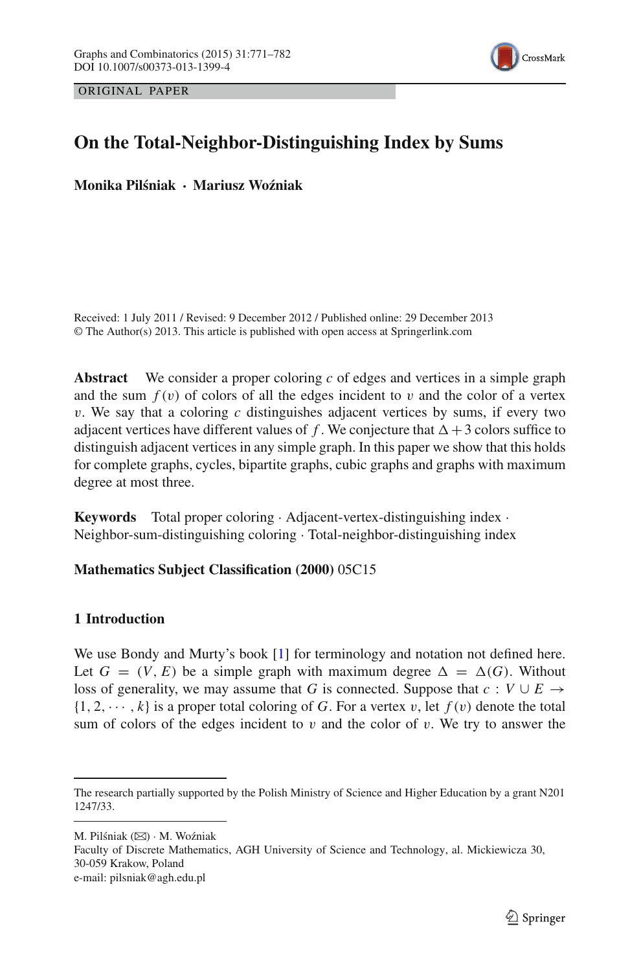

ORIGINAL PAPER

# **On the Total-Neighbor-Distinguishing Index by Sums**

**Monika Pil´sniak · Mariusz Wo´zniak**

Received: 1 July 2011 / Revised: 9 December 2012 / Published online: 29 December 2013 © The Author(s) 2013. This article is published with open access at Springerlink.com

**Abstract** We consider a proper coloring *c* of edges and vertices in a simple graph and the sum  $f(v)$  of colors of all the edges incident to v and the color of a vertex v. We say that a coloring *c* distinguishes adjacent vertices by sums, if every two adjacent vertices have different values of  $f$ . We conjecture that  $\Delta + 3$  colors suffice to distinguish adjacent vertices in any simple graph. In this paper we show that this holds for complete graphs, cycles, bipartite graphs, cubic graphs and graphs with maximum degree at most three.

**Keywords** Total proper coloring · Adjacent-vertex-distinguishing index · Neighbor-sum-distinguishing coloring · Total-neighbor-distinguishing index

# **Mathematics Subject Classification (2000)** 05C15

# **1 Introduction**

We use Bondy and Murty's book [\[1](#page-11-0)] for terminology and notation not defined here. Let  $G = (V, E)$  be a simple graph with maximum degree  $\Delta = \Delta(G)$ . Without loss of generality, we may assume that *G* is connected. Suppose that  $c : V \cup E \rightarrow$  $\{1, 2, \dots, k\}$  is a proper total coloring of G. For a vertex v, let  $f(v)$  denote the total sum of colors of the edges incident to  $v$  and the color of  $v$ . We try to answer the

M. Pilśniak ( $\boxtimes$ ) · M. Woźniak

Faculty of Discrete Mathematics, AGH University of Science and Technology, al. Mickiewicza 30, 30-059 Krakow, Poland e-mail: pilsniak@agh.edu.pl

The research partially supported by the Polish Ministry of Science and Higher Education by a grant N201 1247/33.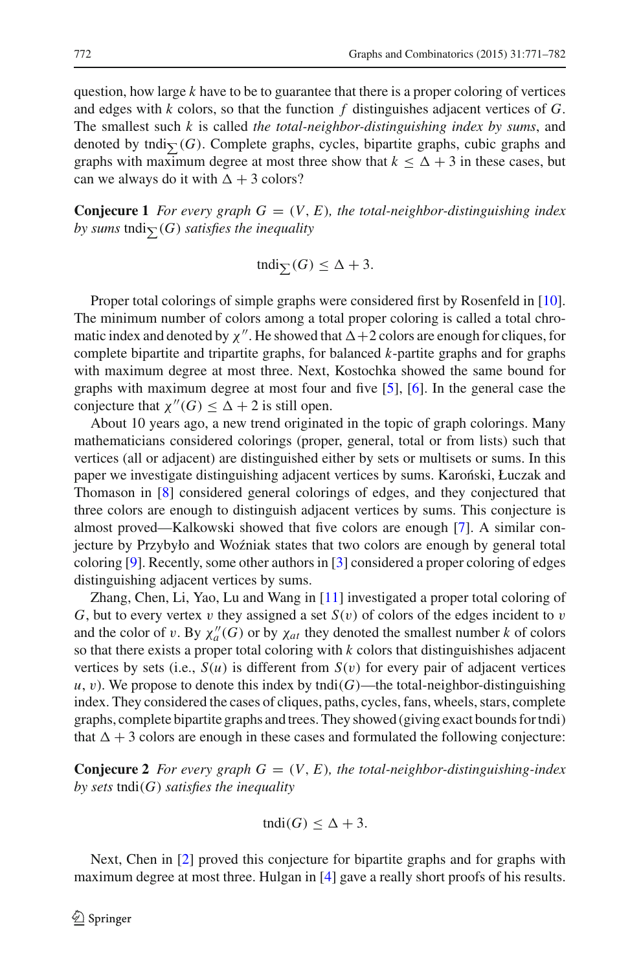question, how large *k* have to be to guarantee that there is a proper coloring of vertices and edges with *k* colors, so that the function *f* distinguishes adjacent vertices of *G*. The smallest such *k* is called *the total-neighbor-distinguishing index by sums*, and denoted by tndi $\sum(G)$ . Complete graphs, cycles, bipartite graphs, cubic graphs and graphs with maximum degree at most three show that  $k \leq \Delta + 3$  in these cases, but can we always do it with  $\Delta + 3$  colors?

**Conjecure 1** *For every graph*  $G = (V, E)$ *, the total-neighbor-distinguishing index* by sums  $\mathrm{tndi}_{\sum}(G)$  *satisfies the inequality* 

$$
\operatorname{tndi}_{\sum}(G) \leq \Delta + 3.
$$

Proper total colorings of simple graphs were considered first by Rosenfeld in [\[10](#page-11-1)]. The minimum number of colors among a total proper coloring is called a total chromatic index and denoted by  $\chi''$ . He showed that  $\Delta + 2$  colors are enough for cliques, for complete bipartite and tripartite graphs, for balanced *k*-partite graphs and for graphs with maximum degree at most three. Next, Kostochka showed the same bound for graphs with maximum degree at most four and five [\[5](#page-11-2)], [\[6\]](#page-11-3). In the general case the conjecture that  $\chi''(G) \leq \Delta + 2$  is still open.

About 10 years ago, a new trend originated in the topic of graph colorings. Many mathematicians considered colorings (proper, general, total or from lists) such that vertices (all or adjacent) are distinguished either by sets or multisets or sums. In this paper we investigate distinguishing adjacent vertices by sums. Karonski, Łuczak and Thomason in [\[8](#page-11-4)] considered general colorings of edges, and they conjectured that three colors are enough to distinguish adjacent vertices by sums. This conjecture is almost proved—Kalkowski showed that five colors are enough [\[7](#page-11-5)]. A similar conjecture by Przybyło and Woźniak states that two colors are enough by general total coloring [\[9](#page-11-6)]. Recently, some other authors in [\[3\]](#page-11-7) considered a proper coloring of edges distinguishing adjacent vertices by sums.

Zhang, Chen, Li, Yao, Lu and Wang in [\[11\]](#page-11-8) investigated a proper total coloring of *G*, but to every vertex v they assigned a set  $S(v)$  of colors of the edges incident to v and the color of v. By  $\chi''_a(G)$  or by  $\chi_{at}$  they denoted the smallest number *k* of colors so that there exists a proper total coloring with *k* colors that distinguishishes adjacent vertices by sets (i.e.,  $S(u)$  is different from  $S(v)$  for every pair of adjacent vertices  $u, v$ ). We propose to denote this index by tndi $(G)$ —the total-neighbor-distinguishing index. They considered the cases of cliques, paths, cycles, fans, wheels, stars, complete graphs, complete bipartite graphs and trees. They showed (giving exact bounds for tndi) that  $\Delta + 3$  colors are enough in these cases and formulated the following conjecture:

**Conjecure 2** *For every graph*  $G = (V, E)$ *, the total-neighbor-distinguishing-index by sets* tndi(*G*) *satisfies the inequality*

$$
\text{tndi}(G) \le \Delta + 3.
$$

Next, Chen in [\[2\]](#page-11-9) proved this conjecture for bipartite graphs and for graphs with maximum degree at most three. Hulgan in [\[4\]](#page-11-10) gave a really short proofs of his results.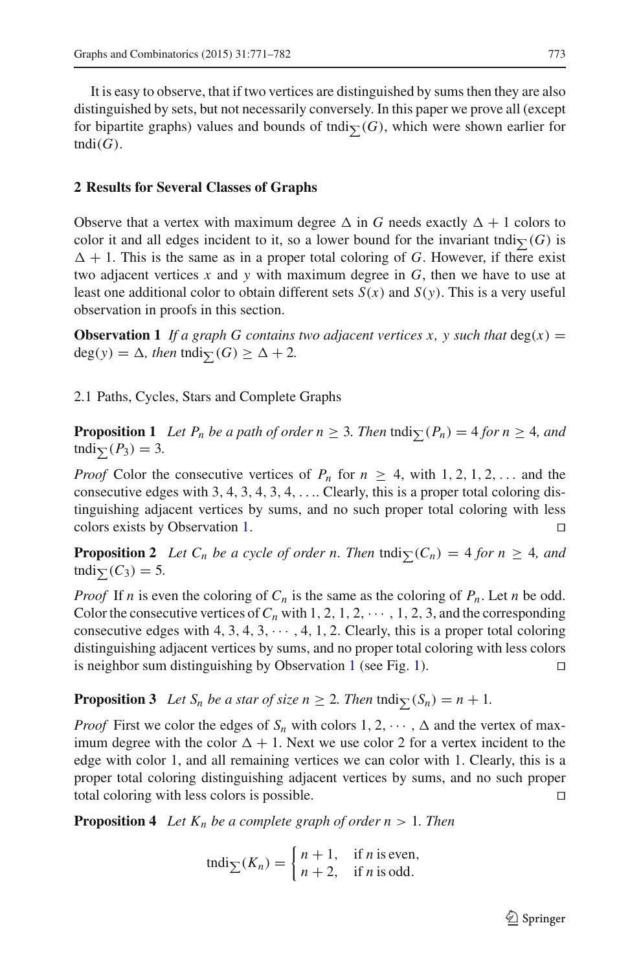It is easy to observe, that if two vertices are distinguished by sums then they are also distinguished by sets, but not necessarily conversely. In this paper we prove all (except for bipartite graphs) values and bounds of tndi $\sum(G)$ , which were shown earlier for  $tndi(G)$ .

#### **2 Results for Several Classes of Graphs**

Observe that a vertex with maximum degree  $\Delta$  in *G* needs exactly  $\Delta + 1$  colors to color it and all edges incident to it, so a lower bound for the invariant tndi $\sum(G)$  is  $\Delta + 1$ . This is the same as in a proper total coloring of *G*. However, if there exist two adjacent vertices *x* and *y* with maximum degree in *G*, then we have to use at least one additional color to obtain different sets  $S(x)$  and  $S(y)$ . This is a very useful observation in proofs in this section.

<span id="page-2-0"></span>**Observation 1** If a graph G contains two adjacent vertices x, y such that  $deg(x) =$  $deg(y) = \Delta$ , then  $tndi_{\sum}(G) \geq \Delta + 2$ .

2.1 Paths, Cycles, Stars and Complete Graphs

**Proposition 1** *Let P<sub>n</sub> be a path of order n*  $\geq$  3*. Then* tndi $\sum (P_n) = 4$  *for n*  $\geq$  4*, and*  $\text{tridi}_{\sum}(P_3) = 3.$ 

*Proof* Color the consecutive vertices of  $P_n$  for  $n \geq 4$ , with 1, 2, 1, 2, ... and the consecutive edges with 3, 4, 3, 4, 3, 4,  $\dots$  Clearly, this is a proper total coloring distinguishing adjacent vertices by sums, and no such proper total coloring with less colors exists by Observation [1.](#page-2-0)

<span id="page-2-2"></span>**Proposition 2** Let  $C_n$  be a cycle of order n. Then tndi $\sum (C_n) = 4$  for  $n \geq 4$ , and tndi $\sum_{i}$  (*C*<sub>3</sub>) = 5*.* 

*Proof* If *n* is even the coloring of  $C_n$  is the same as the coloring of  $P_n$ . Let *n* be odd. Color the consecutive vertices of  $C_n$  with 1, 2, 1, 2,  $\cdots$ , 1, 2, 3, and the corresponding consecutive edges with  $4, 3, 4, 3, \cdots, 4, 1, 2$ . Clearly, this is a proper total coloring distinguishing adjacent vertices by sums, and no proper total coloring with less colors is neighbor sum distinguishing by Observation [1](#page-2-0) (see Fig. [1\)](#page-3-0).

**Proposition 3** Let  $S_n$  be a star of size  $n \geq 2$ . Then tndi $\sum(S_n) = n + 1$ .

*Proof* First we color the edges of  $S_n$  with colors  $1, 2, \dots, \Delta$  and the vertex of maximum degree with the color  $\Delta + 1$ . Next we use color 2 for a vertex incident to the edge with color 1, and all remaining vertices we can color with 1. Clearly, this is a proper total coloring distinguishing adjacent vertices by sums, and no such proper total coloring with less colors is possible.

<span id="page-2-1"></span>**Proposition 4** *Let*  $K_n$  *be a complete graph of order n* > 1*. Then* 

$$
\operatorname{tndi}_{\sum}(K_n) = \begin{cases} n+1, & \text{if } n \text{ is even,} \\ n+2, & \text{if } n \text{ is odd.} \end{cases}
$$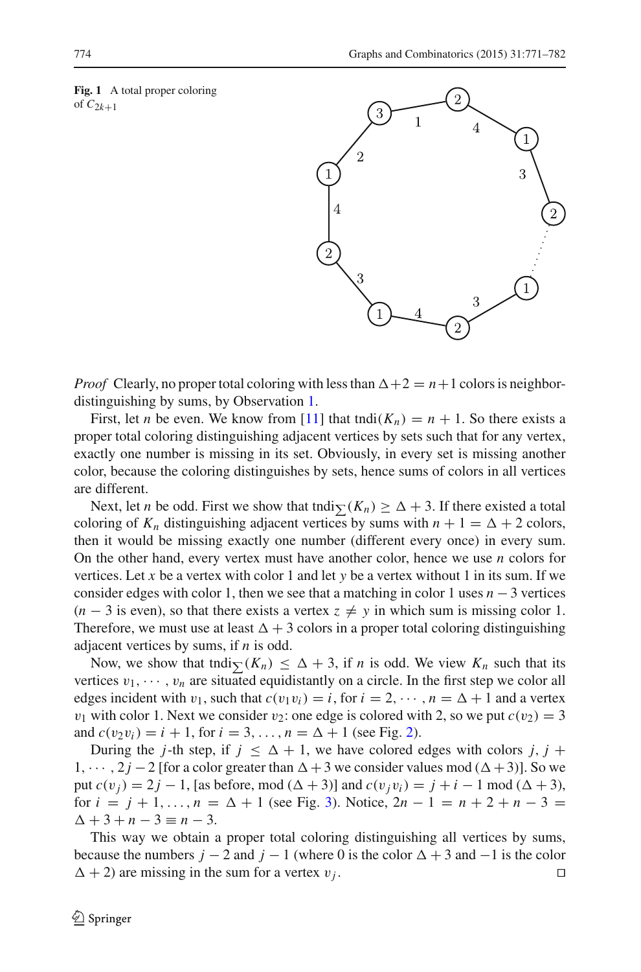<span id="page-3-0"></span>**Fig. 1** A total proper coloring of  $C_{2k+1}$ 



*Proof* Clearly, no proper total coloring with less than  $\Delta + 2 = n + 1$  colors is neighbordistinguishing by sums, by Observation [1.](#page-2-0)

First, let *n* be even. We know from [\[11](#page-11-8)] that tndi $(K_n) = n + 1$ . So there exists a proper total coloring distinguishing adjacent vertices by sets such that for any vertex, exactly one number is missing in its set. Obviously, in every set is missing another color, because the coloring distinguishes by sets, hence sums of colors in all vertices are different.

Next, let *n* be odd. First we show that tndi $\sum (K_n) \geq \Delta + 3$ . If there existed a total coloring of  $K_n$  distinguishing adjacent vertices by sums with  $n + 1 = \Delta + 2$  colors, then it would be missing exactly one number (different every once) in every sum. On the other hand, every vertex must have another color, hence we use *n* colors for vertices. Let *x* be a vertex with color 1 and let *y* be a vertex without 1 in its sum. If we consider edges with color 1, then we see that a matching in color 1 uses  $n - 3$  vertices  $(n-3)$  is even), so that there exists a vertex  $z \neq y$  in which sum is missing color 1. Therefore, we must use at least  $\Delta + 3$  colors in a proper total coloring distinguishing adjacent vertices by sums, if *n* is odd.

Now, we show that tndi $\sum (K_n) \leq \Delta + 3$ , if *n* is odd. We view  $K_n$  such that its vertices  $v_1, \dots, v_n$  are situated equidistantly on a circle. In the first step we color all edges incident with  $v_1$ , such that  $c(v_1v_i) = i$ , for  $i = 2, \dots, n = \Delta + 1$  and a vertex  $v_1$  with color 1. Next we consider  $v_2$ : one edge is colored with 2, so we put  $c(v_2) = 3$ and  $c(v_2v_i) = i + 1$ , for  $i = 3, ..., n = \Delta + 1$  (see Fig. [2\)](#page-4-0).

During the *j*-th step, if  $j \leq \Delta + 1$ , we have colored edges with colors  $j, j +$ 1,  $\cdots$ , 2*j* − 2 [for a color greater than  $\Delta + 3$  we consider values mod ( $\Delta + 3$ )]. So we put *c*(*v*<sub>*j*</sub>) = 2*j* − 1, [as before, mod ( $\Delta + 3$ )] and *c*(*v*<sub>*j*</sub> *v*<sub>*i*</sub>) = *j* + *i* − 1 mod ( $\Delta + 3$ ), for  $i = j + 1, ..., n = \Delta + 1$  (see Fig. [3\)](#page-4-1). Notice,  $2n - 1 = n + 2 + n - 3 =$  $\Delta + 3 + n - 3 \equiv n - 3.$ 

This way we obtain a proper total coloring distinguishing all vertices by sums, because the numbers  $j - 2$  and  $j - 1$  (where 0 is the color  $\Delta + 3$  and  $-1$  is the color  $\Delta + 2$ ) are missing in the sum for a vertex  $v_j$ .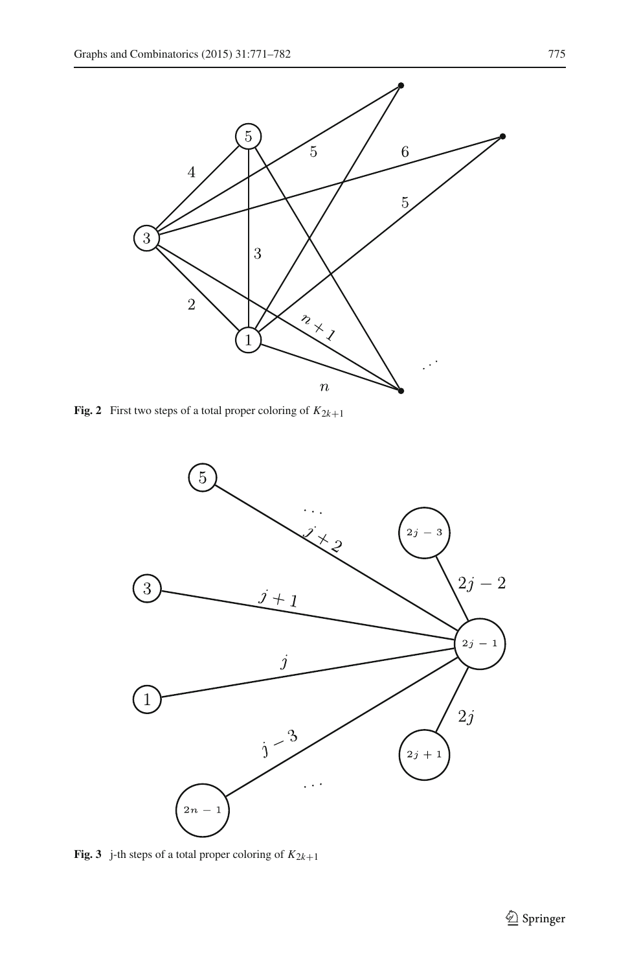

<span id="page-4-0"></span>**Fig. 2** First two steps of a total proper coloring of  $K_{2k+1}$ 



<span id="page-4-1"></span>**Fig. 3** j-th steps of a total proper coloring of  $K_{2k+1}$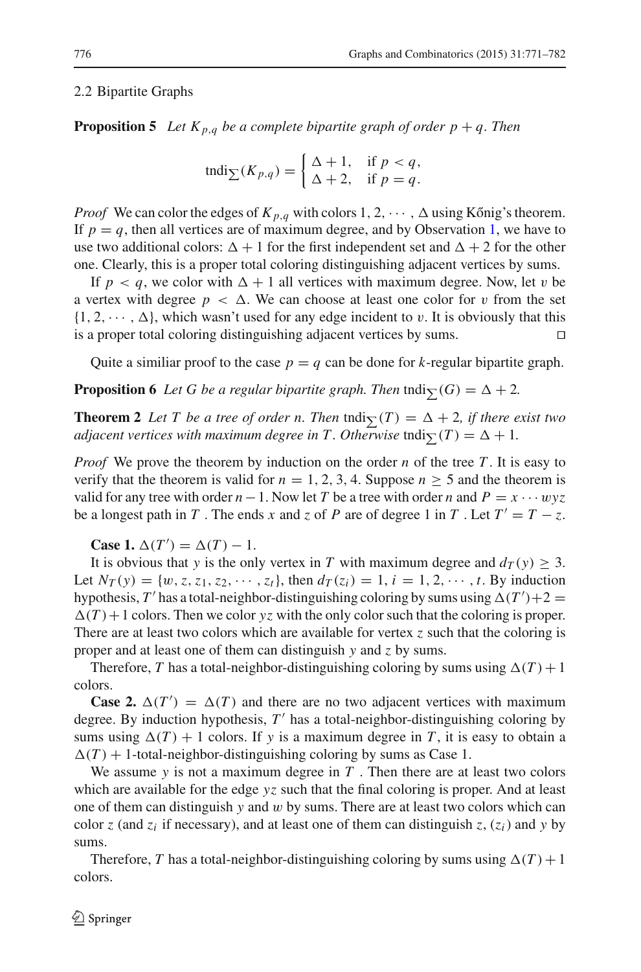#### 2.2 Bipartite Graphs

**Proposition 5** Let  $K_{p,q}$  be a complete bipartite graph of order  $p + q$ . Then

$$
\operatorname{tndi}_{\sum}(K_{p,q}) = \begin{cases} \Delta + 1, & \text{if } p < q, \\ \Delta + 2, & \text{if } p = q. \end{cases}
$$

*Proof* We can color the edges of  $K_{p,q}$  with colors 1, 2,  $\cdots$  ,  $\Delta$  using Kőnig's theorem. If  $p = q$ , then all vertices are of maximum degree, and by Observation [1,](#page-2-0) we have to use two additional colors:  $\Delta + 1$  for the first independent set and  $\Delta + 2$  for the other one. Clearly, this is a proper total coloring distinguishing adjacent vertices by sums.

If  $p < q$ , we color with  $\Delta + 1$  all vertices with maximum degree. Now, let v be a vertex with degree  $p < \Delta$ . We can choose at least one color for v from the set  $\{1, 2, \dots, \Delta\}$ , which wasn't used for any edge incident to v. It is obviously that this is a proper total coloring distinguishing adjacent vertices by sums.

Quite a similiar proof to the case  $p = q$  can be done for *k*-regular bipartite graph.

**Proposition 6** Let G be a regular bipartite graph. Then  $\text{tndig}(G) = \Delta + 2$ .

**Theorem 2** Let T be a tree of order n. Then  $\text{tndig}(T) = \Delta + 2$ , if there exist two *adjacent vertices with maximum degree in T . Otherwise*  $\textrm{tndi}_{\sum}(T) = \Delta + 1$ *.* 

*Proof* We prove the theorem by induction on the order *n* of the tree *T*. It is easy to verify that the theorem is valid for  $n = 1, 2, 3, 4$ . Suppose  $n \ge 5$  and the theorem is valid for any tree with order  $n-1$ . Now let *T* be a tree with order *n* and  $P = x \cdots wyz$ be a longest path in *T*. The ends *x* and *z* of *P* are of degree 1 in *T*. Let  $T' = T - z$ .

**Case 1.**  $\Delta(T') = \Delta(T) - 1$ .

It is obvious that *y* is the only vertex in *T* with maximum degree and  $d_T(y) \geq 3$ . Let  $N_T(y) = \{w, z, z_1, z_2, \dots, z_t\}$ , then  $d_T(z_i) = 1, i = 1, 2, \dots, t$ . By induction hypothesis,  $T'$  has a total-neighbor-distinguishing coloring by sums using  $\Delta(T') + 2 =$  $\Delta(T)$  + 1 colors. Then we color *yz* with the only color such that the coloring is proper. There are at least two colors which are available for vertex *z* such that the coloring is proper and at least one of them can distinguish *y* and *z* by sums.

Therefore, *T* has a total-neighbor-distinguishing coloring by sums using  $\Delta(T) + 1$ colors.

**Case 2.**  $\Delta(T') = \Delta(T)$  and there are no two adjacent vertices with maximum degree. By induction hypothesis, T' has a total-neighbor-distinguishing coloring by sums using  $\Delta(T) + 1$  colors. If *y* is a maximum degree in *T*, it is easy to obtain a  $\Delta(T)$  + 1-total-neighbor-distinguishing coloring by sums as Case 1.

We assume  $y$  is not a maximum degree in  $T$ . Then there are at least two colors which are available for the edge *yz* such that the final coloring is proper. And at least one of them can distinguish *y* and w by sums. There are at least two colors which can color *z* (and  $z_i$  if necessary), and at least one of them can distinguish *z*,  $(z_i)$  and *y* by sums.

Therefore, *T* has a total-neighbor-distinguishing coloring by sums using  $\Delta(T) + 1$ colors.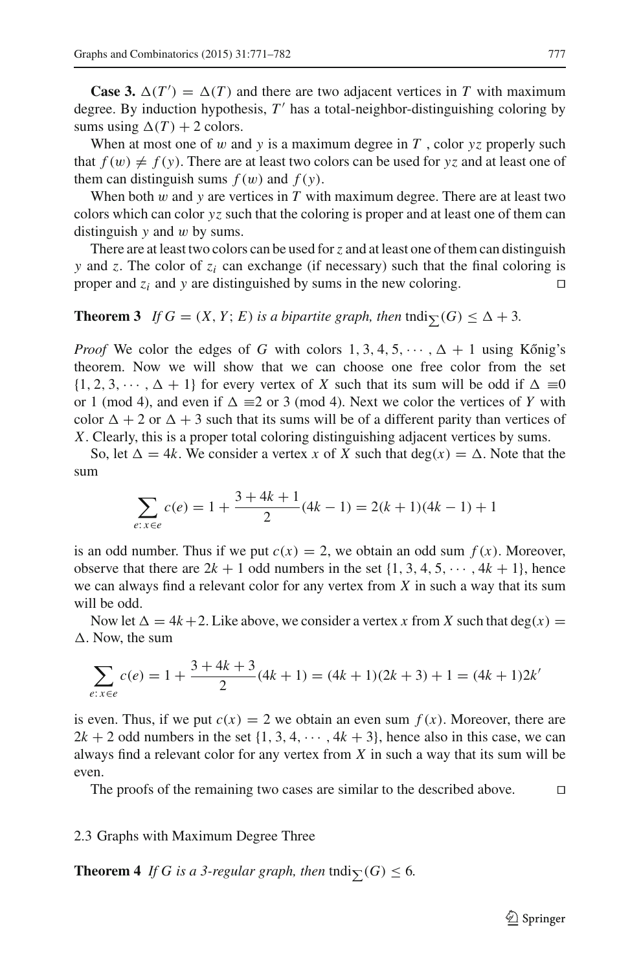**Case 3.**  $\Delta(T') = \Delta(T)$  and there are two adjacent vertices in *T* with maximum degree. By induction hypothesis,  $T'$  has a total-neighbor-distinguishing coloring by sums using  $\Delta(T) + 2$  colors.

When at most one of w and y is a maximum degree in  $T$ , color  $yz$  properly such that  $f(w) \neq f(y)$ . There are at least two colors can be used for yz and at least one of them can distinguish sums  $f(w)$  and  $f(y)$ .

When both w and y are vertices in T with maximum degree. There are at least two colors which can color *yz* such that the coloring is proper and at least one of them can distinguish *y* and w by sums.

There are at least two colors can be used for*z* and at least one of them can distinguish *y* and *z*. The color of *zi* can exchange (if necessary) such that the final coloring is proper and  $z_i$  and *y* are distinguished by sums in the new coloring.

# <span id="page-6-0"></span>**Theorem 3** *If*  $G = (X, Y; E)$  *is a bipartite graph, then*  $\text{tndi}_{\sum}(G) \leq \Delta + 3$ *.*

*Proof* We color the edges of *G* with colors  $1, 3, 4, 5, \dots, \Delta + 1$  using Kőnig's theorem. Now we will show that we can choose one free color from the set  $\{1, 2, 3, \dots, \Delta + 1\}$  for every vertex of *X* such that its sum will be odd if  $\Delta \equiv 0$ or 1 (mod 4), and even if  $\Delta \equiv 2$  or 3 (mod 4). Next we color the vertices of *Y* with color  $\Delta + 2$  or  $\Delta + 3$  such that its sums will be of a different parity than vertices of *X*. Clearly, this is a proper total coloring distinguishing adjacent vertices by sums.

So, let  $\Delta = 4k$ . We consider a vertex *x* of *X* such that deg(*x*) =  $\Delta$ . Note that the sum

$$
\sum_{e: x \in e} c(e) = 1 + \frac{3 + 4k + 1}{2} (4k - 1) = 2(k + 1)(4k - 1) + 1
$$

is an odd number. Thus if we put  $c(x) = 2$ , we obtain an odd sum  $f(x)$ . Moreover, observe that there are  $2k + 1$  odd numbers in the set  $\{1, 3, 4, 5, \dots, 4k + 1\}$ , hence we can always find a relevant color for any vertex from *X* in such a way that its sum will be odd.

Now let  $\Delta = 4k + 2$ . Like above, we consider a vertex *x* from *X* such that deg(*x*) =  $\Delta$ . Now, the sum

$$
\sum_{e: x \in e} c(e) = 1 + \frac{3 + 4k + 3}{2} (4k + 1) = (4k + 1)(2k + 3) + 1 = (4k + 1)2k'
$$

is even. Thus, if we put  $c(x) = 2$  we obtain an even sum  $f(x)$ . Moreover, there are  $2k + 2$  odd numbers in the set  $\{1, 3, 4, \dots, 4k + 3\}$ , hence also in this case, we can always find a relevant color for any vertex from *X* in such a way that its sum will be even.

The proofs of the remaining two cases are similar to the described above.  $\Box$ 

#### 2.3 Graphs with Maximum Degree Three

<span id="page-6-1"></span>**Theorem 4** If G is a 3-regular graph, then  $\text{tndig}(G) \leq 6$ .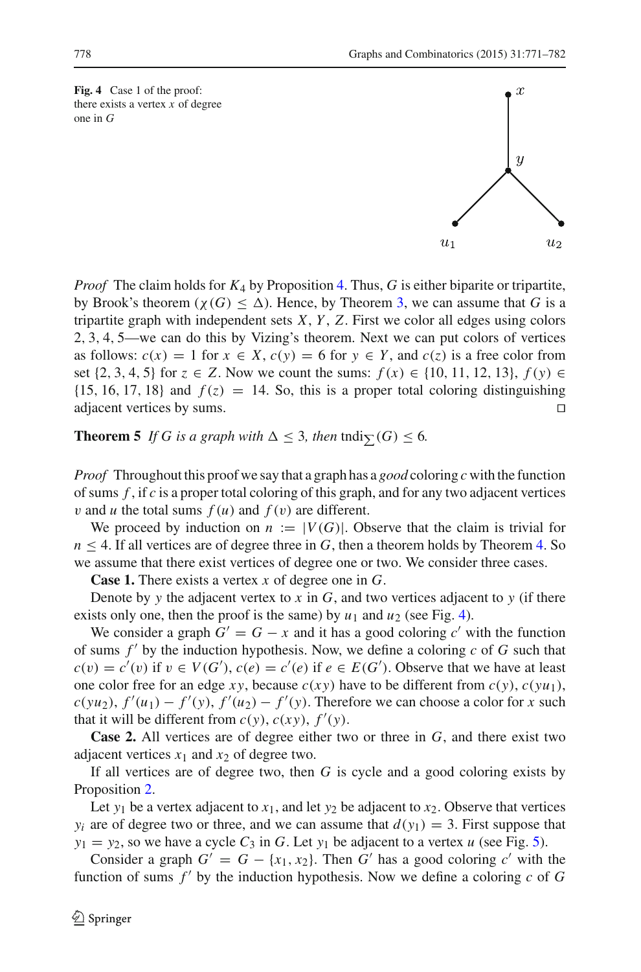<span id="page-7-0"></span>**Fig. 4** Case 1 of the proof: there exists a vertex *x* of degree one in *G*

*Proof* The claim holds for  $K_4$  by Proposition [4.](#page-2-1) Thus, *G* is either biparite or tripartite, by Brook's theorem ( $\chi(G) \leq \Delta$ ). Hence, by Theorem [3,](#page-6-0) we can assume that *G* is a tripartite graph with independent sets *X*, *Y* , *Z*. First we color all edges using colors 2, 3, 4, 5—we can do this by Vizing's theorem. Next we can put colors of vertices as follows:  $c(x) = 1$  for  $x \in X$ ,  $c(y) = 6$  for  $y \in Y$ , and  $c(z)$  is a free color from set {2, 3, 4, 5} for *z* ∈ *Z*. Now we count the sums:  $f(x)$  ∈ {10, 11, 12, 13},  $f(y)$  ∈ {15, 16, 17, 18} and  $f(z) = 14$ . So, this is a proper total coloring distinguishing adiacent vertices by sums. adjacent vertices by sums.

**Theorem 5** If G is a graph with  $\Delta \leq 3$ , then tndi $\sum(G) \leq 6$ .

*Proof* Throughout this proof we say that a graph has a *good* coloring *c* with the function of sums *f* , if *c* is a proper total coloring of this graph, and for any two adjacent vertices *v* and *u* the total sums  $f(u)$  and  $f(v)$  are different.

We proceed by induction on  $n := |V(G)|$ . Observe that the claim is trivial for  $n \leq 4$ . If all vertices are of degree three in *G*, then a theorem holds by Theorem [4.](#page-6-1) So we assume that there exist vertices of degree one or two. We consider three cases.

**Case 1.** There exists a vertex *x* of degree one in *G*.

Denote by *y* the adjacent vertex to  $x$  in  $G$ , and two vertices adjacent to  $y$  (if there exists only one, then the proof is the same) by  $u_1$  and  $u_2$  (see Fig. [4\)](#page-7-0).

We consider a graph  $G' = G - x$  and it has a good coloring  $c'$  with the function of sums  $f'$  by the induction hypothesis. Now, we define a coloring  $c$  of  $G$  such that  $c(v) = c'(v)$  if  $v \in V(G')$ ,  $c(e) = c'(e)$  if  $e \in E(G')$ . Observe that we have at least one color free for an edge  $xy$ , because  $c(xy)$  have to be different from  $c(y)$ ,  $c(yu_1)$ ,  $c(yu_2)$ ,  $f'(u_1) - f'(y)$ ,  $f'(u_2) - f'(y)$ . Therefore we can choose a color for *x* such that it will be different from  $c(y)$ ,  $c(xy)$ ,  $f'(y)$ .

**Case 2.** All vertices are of degree either two or three in *G*, and there exist two adjacent vertices  $x_1$  and  $x_2$  of degree two.

If all vertices are of degree two, then *G* is cycle and a good coloring exists by Proposition [2.](#page-2-2)

Let  $y_1$  be a vertex adjacent to  $x_1$ , and let  $y_2$  be adjacent to  $x_2$ . Observe that vertices *y<sub>i</sub>* are of degree two or three, and we can assume that  $d(y_1) = 3$ . First suppose that  $y_1 = y_2$ , so we have a cycle  $C_3$  in *G*. Let  $y_1$  be adjacent to a vertex *u* (see Fig. [5\)](#page-8-0).

Consider a graph  $G' = G - \{x_1, x_2\}$ . Then  $G'$  has a good coloring  $c'$  with the function of sums  $f'$  by the induction hypothesis. Now we define a coloring  $c$  of  $G$ 



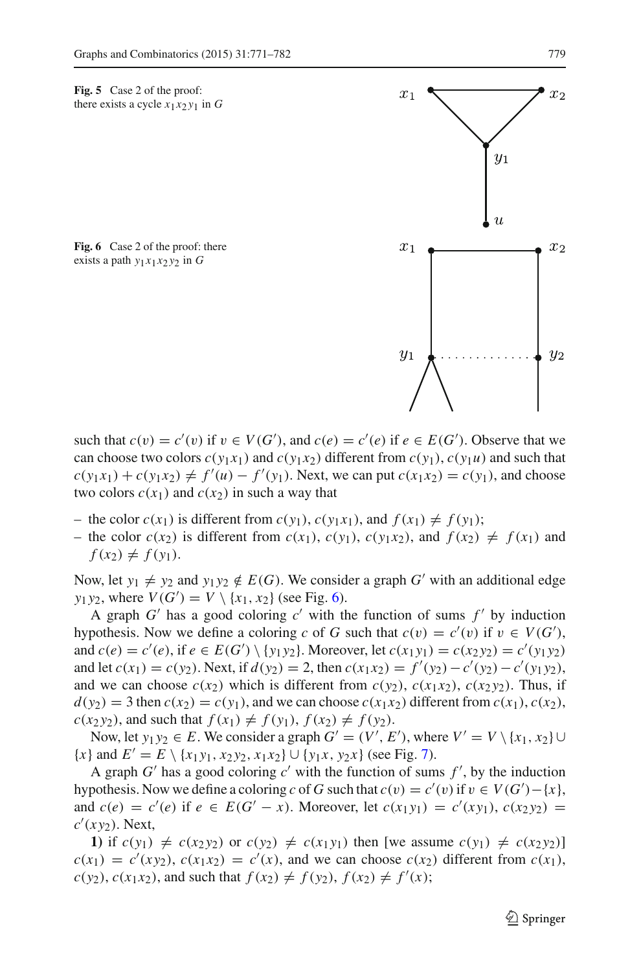<span id="page-8-0"></span>**Fig. 5** Case 2 of the proof: there exists a cycle  $x_1x_2y_1$  in *G* 

<span id="page-8-1"></span>Fig. 6 Case 2 of the proof: there exists a path  $y_1x_1x_2y_2$  in  $G$ 

such that  $c(v) = c'(v)$  if  $v \in V(G')$ , and  $c(e) = c'(e)$  if  $e \in E(G')$ . Observe that we can choose two colors  $c(y_1x_1)$  and  $c(y_1x_2)$  different from  $c(y_1)$ ,  $c(y_1u)$  and such that  $c(y_1x_1) + c(y_1x_2) \neq f'(u) - f'(y_1)$ . Next, we can put  $c(x_1x_2) = c(y_1)$ , and choose two colors  $c(x_1)$  and  $c(x_2)$  in such a way that

- $-$  the color  $c(x_1)$  is different from  $c(y_1)$ ,  $c(y_1x_1)$ , and  $f(x_1) \neq f(y_1)$ ;
- the color  $c(x_2)$  is different from  $c(x_1)$ ,  $c(y_1)$ ,  $c(y_1x_2)$ , and  $f(x_2) \neq f(x_1)$  and  $f(x_2) \neq f(y_1)$ .

Now, let  $y_1 \neq y_2$  and  $y_1 y_2 \notin E(G)$ . We consider a graph *G'* with an additional edge *y*<sub>1</sub>*y*<sub>2</sub>, where  $V(G') = V \setminus \{x_1, x_2\}$  (see Fig. [6\)](#page-8-1).

A graph  $G'$  has a good coloring  $c'$  with the function of sums  $f'$  by induction hypothesis. Now we define a coloring *c* of *G* such that  $c(v) = c'(v)$  if  $v \in V(G')$ , and  $c(e) = c'(e)$ , if  $e \in E(G') \setminus \{y_1y_2\}$ . Moreover, let  $c(x_1y_1) = c(x_2y_2) = c'(y_1y_2)$ and let  $c(x_1) = c(y_2)$ . Next, if  $d(y_2) = 2$ , then  $c(x_1x_2) = f'(y_2) - c'(y_2) - c'(y_1y_2)$ , and we can choose  $c(x_2)$  which is different from  $c(y_2)$ ,  $c(x_1x_2)$ ,  $c(x_2y_2)$ . Thus, if  $d(y_2) = 3$  then  $c(x_2) = c(y_1)$ , and we can choose  $c(x_1x_2)$  different from  $c(x_1)$ ,  $c(x_2)$ ,  $c(x_2 y_2)$ , and such that  $f(x_1) \neq f(y_1)$ ,  $f(x_2) \neq f(y_2)$ .

Now, let  $y_1 y_2 \in E$ . We consider a graph  $G' = (V', E')$ , where  $V' = V \setminus \{x_1, x_2\} \cup$  ${x}$  and  $E' = E \setminus {x_1 y_1, x_2 y_2, x_1 x_2} \cup {y_1 x, y_2 x}$  (see Fig. [7\)](#page-9-0).

A graph  $G'$  has a good coloring  $c'$  with the function of sums  $f'$ , by the induction hypothesis. Now we define a coloring *c* of *G* such that  $c(v) = c'(v)$  if  $v \in V(G') - \{x\}$ , and  $c(e) = c'(e)$  if  $e \in E(G' - x)$ . Moreover, let  $c(x_1y_1) = c'(xy_1)$ ,  $c(x_2y_2) = c'(xy_1)$ *c* (*x y*2). Next,

**1)** if  $c(y_1) \neq c(x_2y_2)$  or  $c(y_2) \neq c(x_1y_1)$  then [we assume  $c(y_1) \neq c(x_2y_2)$ ]  $c(x_1) = c'(x_2)$ ,  $c(x_1x_2) = c'(x)$ , and we can choose  $c(x_2)$  different from  $c(x_1)$ ,  $c(y_2)$ ,  $c(x_1x_2)$ , and such that  $f(x_2) \neq f(y_2)$ ,  $f(x_2) \neq f'(x)$ ;

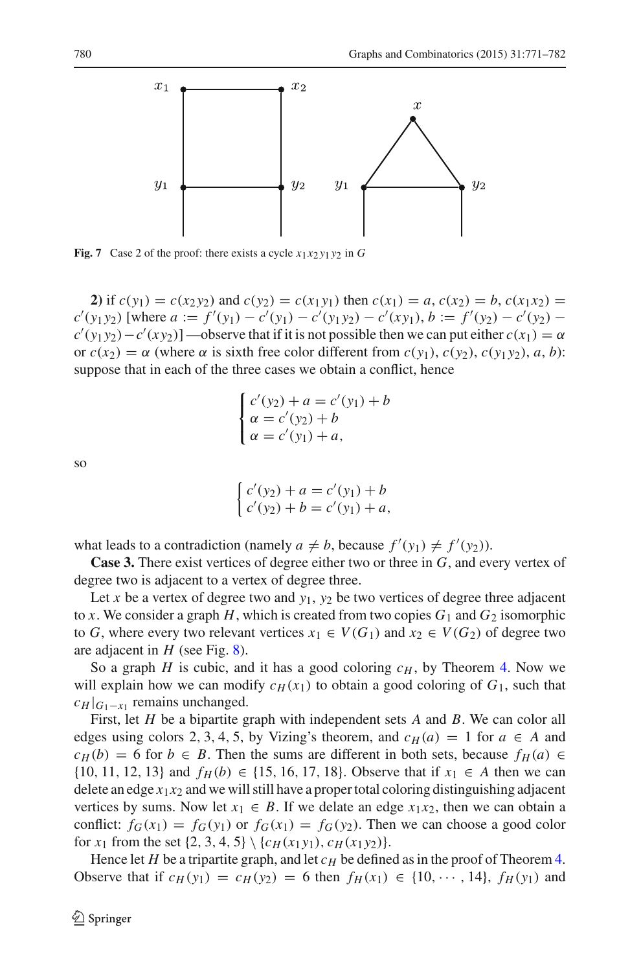

<span id="page-9-0"></span>**Fig. 7** Case 2 of the proof: there exists a cycle  $x_1x_2y_1y_2$  in *G* 

**2)** if  $c(y_1) = c(x_2 y_2)$  and  $c(y_2) = c(x_1 y_1)$  then  $c(x_1) = a, c(x_2) = b, c(x_1 x_2) = c(x_1 x_2)$  $c'(y_1 y_2)$  [where  $a := f'(y_1) - c'(y_1) - c'(y_1 y_2) - c'(x y_1)$ ,  $b := f'(y_2) - c'(y_2) - c'(y_1 y_2)$  $c'(y_1 y_2) - c'(x y_2)$ ] —observe that if it is not possible then we can put either  $c(x_1) = \alpha$ or  $c(x_2) = \alpha$  (where  $\alpha$  is sixth free color different from  $c(y_1)$ ,  $c(y_2)$ ,  $c(y_1y_2)$ ,  $a, b$ ): suppose that in each of the three cases we obtain a conflict, hence

$$
\begin{cases}\nc'(y_2) + a = c'(y_1) + b \\
\alpha = c'(y_2) + b \\
\alpha = c'(y_1) + a,\n\end{cases}
$$

so

$$
\begin{cases} c'(y_2) + a = c'(y_1) + b \\ c'(y_2) + b = c'(y_1) + a, \end{cases}
$$

what leads to a contradiction (namely  $a \neq b$ , because  $f'(y_1) \neq f'(y_2)$ ).

**Case 3.** There exist vertices of degree either two or three in *G*, and every vertex of degree two is adjacent to a vertex of degree three.

Let *x* be a vertex of degree two and  $y_1$ ,  $y_2$  be two vertices of degree three adjacent to *x*. We consider a graph *H*, which is created from two copies  $G_1$  and  $G_2$  isomorphic to *G*, where every two relevant vertices  $x_1 \in V(G_1)$  and  $x_2 \in V(G_2)$  of degree two are adjacent in *H* (see Fig. [8\)](#page-10-0).

So a graph *H* is cubic, and it has a good coloring  $c_H$ , by Theorem [4.](#page-6-1) Now we will explain how we can modify  $c_H(x_1)$  to obtain a good coloring of  $G_1$ , such that  $c_H |_{G_1-x_1}$  remains unchanged.

First, let *H* be a bipartite graph with independent sets *A* and *B*. We can color all edges using colors 2, 3, 4, 5, by Vizing's theorem, and  $c_H(a) = 1$  for  $a \in A$  and  $c_H(b) = 6$  for  $b \in B$ . Then the sums are different in both sets, because  $f_H(a) \in$ {10, 11, 12, 13} and  $f_H(b) \in \{15, 16, 17, 18\}$ . Observe that if  $x_1 \in A$  then we can delete an edge  $x_1x_2$  and we will still have a proper total coloring distinguishing adjacent vertices by sums. Now let  $x_1 \in B$ . If we delate an edge  $x_1x_2$ , then we can obtain a conflict:  $f_G(x_1) = f_G(y_1)$  or  $f_G(x_1) = f_G(y_2)$ . Then we can choose a good color for  $x_1$  from the set  $\{2, 3, 4, 5\} \setminus \{c_H(x_1y_1), c_H(x_1y_2)\}.$ 

Hence let *H* be a tripartite graph, and let  $c_H$  be defined as in the proof of Theorem [4.](#page-6-1) Observe that if  $c_H(y_1) = c_H(y_2) = 6$  then  $f_H(x_1) \in \{10, \dots, 14\}$ ,  $f_H(y_1)$  and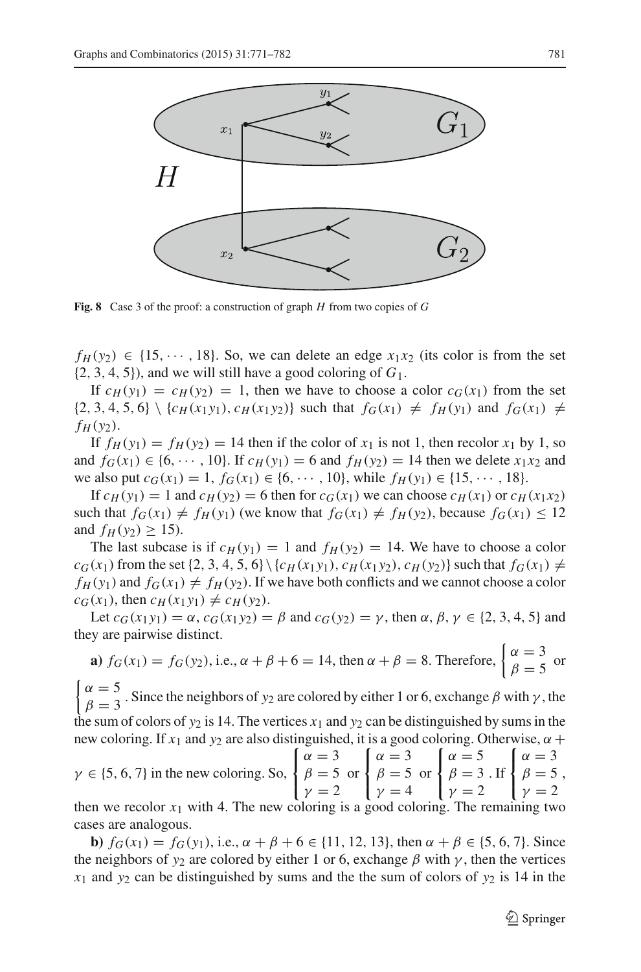

<span id="page-10-0"></span>**Fig. 8** Case 3 of the proof: a construction of graph *H* from two copies of *G*

 $f_H(y_2) \in \{15, \dots, 18\}$ . So, we can delete an edge  $x_1x_2$  (its color is from the set  $\{2, 3, 4, 5\}$ , and we will still have a good coloring of  $G_1$ .

If  $c_H(y_1) = c_H(y_2) = 1$ , then we have to choose a color  $c_G(x_1)$  from the set  $\{2, 3, 4, 5, 6\}\setminus\{c_H(x_1y_1), c_H(x_1y_2)\}\$  such that  $f_G(x_1) \neq f_H(y_1)$  and  $f_G(x_1) \neq f_H(y_2)$  $f_H(y_2)$ .

If  $f_H(y_1) = f_H(y_2) = 14$  then if the color of  $x_1$  is not 1, then recolor  $x_1$  by 1, so and  $f_G(x_1) \in \{6, \dots, 10\}$ . If  $c_H(y_1) = 6$  and  $f_H(y_2) = 14$  then we delete  $x_1x_2$  and we also put  $c_G(x_1) = 1$ ,  $f_G(x_1) \in \{6, \dots, 10\}$ , while  $f_H(y_1) \in \{15, \dots, 18\}$ .

If  $c_H(y_1) = 1$  and  $c_H(y_2) = 6$  then for  $c_G(x_1)$  we can choose  $c_H(x_1)$  or  $c_H(x_1x_2)$ such that  $f_G(x_1) \neq f_H(y_1)$  (we know that  $f_G(x_1) \neq f_H(y_2)$ , because  $f_G(x_1) \leq 12$ and  $f_H(y_2) \ge 15$ ).

The last subcase is if  $c_H(y_1) = 1$  and  $f_H(y_2) = 14$ . We have to choose a color  $c_G(x_1)$  from the set  $\{2, 3, 4, 5, 6\} \setminus \{c_H(x_1, y_1), c_H(x_1, y_2), c_H(y_2)\}$  such that  $f_G(x_1) \neq$  $f_H(y_1)$  and  $f_G(x_1) \neq f_H(y_2)$ . If we have both conflicts and we cannot choose a color  $c_G(x_1)$ , then  $c_H(x_1y_1) \neq c_H(y_2)$ .

Let  $c_G(x_1 y_1) = \alpha$ ,  $c_G(x_1 y_2) = \beta$  and  $c_G(y_2) = \gamma$ , then  $\alpha, \beta, \gamma \in \{2, 3, 4, 5\}$  and they are pairwise distinct.

**a)** 
$$
f_G(x_1) = f_G(y_2)
$$
, i.e.,  $\alpha + \beta + 6 = 14$ , then  $\alpha + \beta = 8$ . Therefore,  $\begin{cases} \alpha = 3 \\ \beta = 5 \end{cases}$  or

 $\overline{1}$  $\alpha = 5$ <br> $\beta = 3$ . Since the neighbors of *y*<sub>2</sub> are colored by either 1 or 6, exchange  $\beta$  with  $\gamma$ , the the sum of colors of  $y_2$  is 14. The vertices  $x_1$  and  $y_2$  can be distinguished by sums in the

new coloring. If  $x_1$  and  $y_2$  are also distinguished, it is a good coloring. Otherwise,  $\alpha$  +  $\gamma \in \{5, 6, 7\}$  in the new coloring. So,  $\sqrt{ }$ ⎨ ⎩  $\alpha = 3$  $\beta = 5$  $\gamma = 2$ or  $\sqrt{ }$ ⎨ ⎩  $\alpha = 3$  $\beta = 5$  $\gamma = 4$ or  $\sqrt{ }$  $\mathbf{I}$  $\mathbf{I}$  $\alpha = 5$  $\beta = 3$  $\gamma = 2$ . If  $\sqrt{ }$  $\mathbf{I}$  $\mathbf{I}$  $\alpha = 3$  $\beta = 5$  $\gamma = 2$ , then we recolor  $x_1$  with 4. The new coloring is a good coloring. The remaining two

cases are analogous. **b**)  $f_G(x_1) = f_G(y_1)$ , i.e.,  $\alpha + \beta + 6 \in \{11, 12, 13\}$ , then  $\alpha + \beta \in \{5, 6, 7\}$ . Since the neighbors of  $y_2$  are colored by either 1 or 6, exchange  $\beta$  with  $\gamma$ , then the vertices  $x_1$  and  $y_2$  can be distinguished by sums and the the sum of colors of  $y_2$  is 14 in the